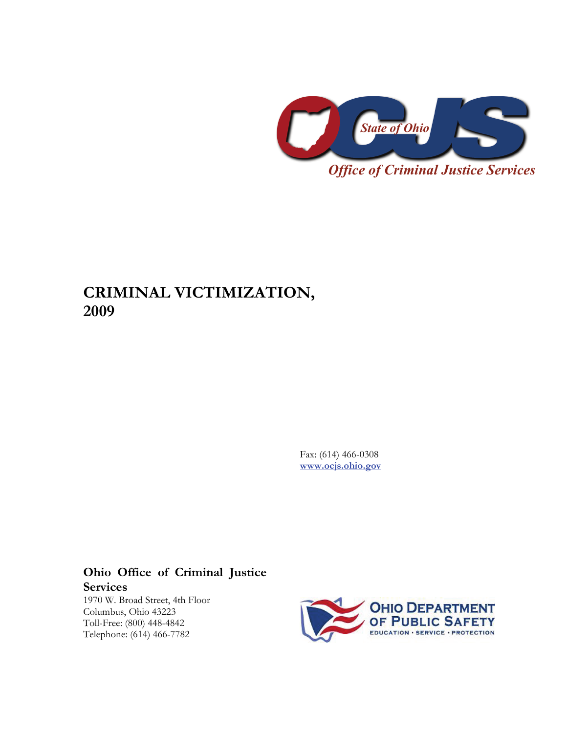

# **CRIMINAL VICTIMIZATION, 2009**

Fax: (614) 466-0308 **[www.ocjs.ohio.gov](http://www.ocjs.ohio.gov/)**

# **Ohio Office of Criminal Justice Services**

1970 W. Broad Street, 4th Floor Columbus, Ohio 43223 Toll-Free: (800) 448-4842 Telephone: (614) 466-7782

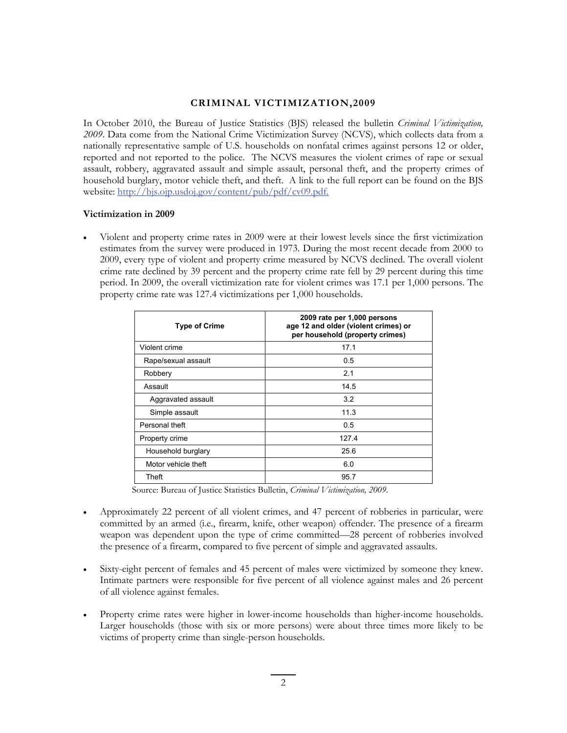## **CRIMINAL VICTIMIZATION,2009**

In October 2010, the Bureau of Justice Statistics (BJS) released the bulletin *Criminal Victimization, 2009*. Data come from the National Crime Victimization Survey (NCVS), which collects data from a nationally representative sample of U.S. households on nonfatal crimes against persons 12 or older, reported and not reported to the police. The NCVS measures the violent crimes of rape or sexual assault, robbery, aggravated assault and simple assault, personal theft, and the property crimes of household burglary, motor vehicle theft, and theft. A link to the full report can be found on the BJS website: [http://bjs.ojp.usdoj.gov/content/pub/pdf/cv09.pdf.](http://bjs.ojp.usdoj.gov/content/pub/pdf/cv09.pdf)

## **Victimization in 2009**

• Violent and property crime rates in 2009 were at their lowest levels since the first victimization estimates from the survey were produced in 1973. During the most recent decade from 2000 to 2009, every type of violent and property crime measured by NCVS declined. The overall violent crime rate declined by 39 percent and the property crime rate fell by 29 percent during this time period. In 2009, the overall victimization rate for violent crimes was 17.1 per 1,000 persons. The property crime rate was 127.4 victimizations per 1,000 households.

| <b>Type of Crime</b> | 2009 rate per 1,000 persons<br>age 12 and older (violent crimes) or<br>per household (property crimes) |  |  |  |  |
|----------------------|--------------------------------------------------------------------------------------------------------|--|--|--|--|
| Violent crime        | 17.1                                                                                                   |  |  |  |  |
| Rape/sexual assault  | 0.5                                                                                                    |  |  |  |  |
| Robbery              | 2.1                                                                                                    |  |  |  |  |
| Assault              | 14.5                                                                                                   |  |  |  |  |
| Aggravated assault   | 3.2                                                                                                    |  |  |  |  |
| Simple assault       | 11.3                                                                                                   |  |  |  |  |
| Personal theft       | 0.5                                                                                                    |  |  |  |  |
| Property crime       | 127.4                                                                                                  |  |  |  |  |
| Household burglary   | 25.6                                                                                                   |  |  |  |  |
| Motor vehicle theft  | 6.0                                                                                                    |  |  |  |  |
| Theft                | 95.7                                                                                                   |  |  |  |  |

Source: Bureau of Justice Statistics Bulletin, *Criminal Victimization, 2009*.

- Approximately 22 percent of all violent crimes, and 47 percent of robberies in particular, were committed by an armed (i.e., firearm, knife, other weapon) offender. The presence of a firearm weapon was dependent upon the type of crime committed—28 percent of robberies involved the presence of a firearm, compared to five percent of simple and aggravated assaults.
- Sixty-eight percent of females and 45 percent of males were victimized by someone they knew. Intimate partners were responsible for five percent of all violence against males and 26 percent of all violence against females.
- Property crime rates were higher in lower-income households than higher-income households. Larger households (those with six or more persons) were about three times more likely to be victims of property crime than single-person households.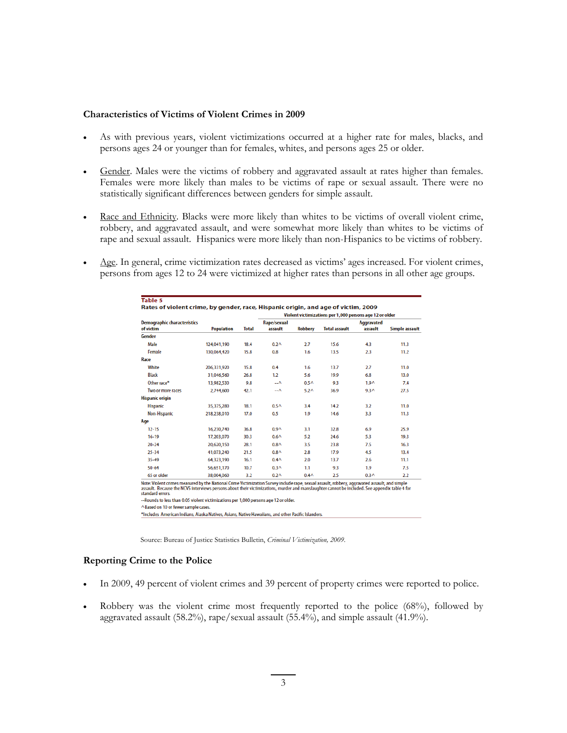#### **Characteristics of Victims of Violent Crimes in 2009**

- As with previous years, violent victimizations occurred at a higher rate for males, blacks, and persons ages 24 or younger than for females, whites, and persons ages 25 or older.
- Gender. Males were the victims of robbery and aggravated assault at rates higher than females. Females were more likely than males to be victims of rape or sexual assault. There were no statistically significant differences between genders for simple assault.
- Race and Ethnicity. Blacks were more likely than whites to be victims of overall violent crime, robbery, and aggravated assault, and were somewhat more likely than whites to be victims of rape and sexual assault. Hispanics were more likely than non-Hispanics to be victims of robbery.
- Age. In general, crime victimization rates decreased as victims' ages increased. For violent crimes, persons from ages 12 to 24 were victimized at higher rates than persons in all other age groups.

| <b>Demographic characteristics</b><br>of victim | <b>Population</b> | <b>Total</b> | Violent victimizations per 1,000 persons age 12 or older |                  |                      |                              |                |
|-------------------------------------------------|-------------------|--------------|----------------------------------------------------------|------------------|----------------------|------------------------------|----------------|
|                                                 |                   |              | Rape/sexual<br>assault                                   | <b>Robbery</b>   | <b>Total assault</b> | <b>Aggravated</b><br>assault | Simple assault |
| Gender                                          |                   |              |                                                          |                  |                      |                              |                |
| Male                                            | 124.041.190       | 18.4         | 0.2 <sub>A</sub>                                         | 2.7              | 15.6                 | 4.3                          | 11.3           |
| Female                                          | 130.064.420       | 15.8         | 0.8                                                      | 1.6              | 13.5                 | 2.3                          | 11.2           |
| Race                                            |                   |              |                                                          |                  |                      |                              |                |
| White                                           | 206,331,920       | 15.8         | 0.4                                                      | 1.6              | 13.7                 | 2.7                          | 11.0           |
| <b>Black</b>                                    | 31,046,560        | 26.8         | 1.2                                                      | 5.6              | 19.9                 | 6.8                          | 13.0           |
| Other race*                                     | 13,982,530        | 9.8          | $-\Lambda$                                               | 0.5 <sub>0</sub> | 9.3                  | $1.9^$                       | 7.4            |
| Two or more races                               | 2.744.600         | 42.1         | $-\Lambda$                                               | 5.2 <sub>0</sub> | 36.9                 | 9.3 <sub>0</sub>             | 27.5           |
| <b>Hispanic origin</b>                          |                   |              |                                                          |                  |                      |                              |                |
| <b>Hispanic</b>                                 | 35.375.280        | 18.1         | 0.5 <sub>0</sub>                                         | 3.4              | 14.2                 | 3.2                          | 11.0           |
| Non-Hispanic                                    | 218,238,010       | 17.0         | 0.5                                                      | 1.9              | 14.6                 | 3.3                          | 11.3           |
| Age                                             |                   |              |                                                          |                  |                      |                              |                |
| $12 - 15$                                       | 16.230.740        | 36.8         | 0.9 <sub>0</sub>                                         | 3.1              | 32.8                 | 6.9                          | 25.9           |
| $16 - 19$                                       | 17.203.070        | 30.3         | 0.6 <sub>0</sub>                                         | 5.2              | 24.6                 | 5.3                          | 19.3           |
| $20 - 24$                                       | 20.620.150        | 28.1         | 0.8 <sub>0</sub>                                         | 3.5              | 23.8                 | 7.5                          | 16.3           |
| $25 - 34$                                       | 41,073,240        | 21.5         | 0.8 <sub>0</sub>                                         | 2.8              | 17.9                 | 4.5                          | 13.4           |
| $35 - 49$                                       | 64,323,190        | 16.1         | 0.4 <sub>0</sub>                                         | 2.0              | 13.7                 | 2.6                          | 11.1           |
| $50 - 64$                                       | 56,651,170        | 10.7         | 0.3 <sub>A</sub>                                         | 1.1              | 9.3                  | 1.9                          | 7.5            |
| 65 or older                                     | 38.004.060        | 3.2          | 0.2 <sub>A</sub>                                         | 0.4 <sub>0</sub> | 2.5                  | 0.3 <sub>A</sub>             | 2.2            |

standard errors. -- Rounds to less than 0.05 violent victimizations per 1,000 persons age 12 or older.

^Based on 10 or fewer sample cases.

\*Includes American Indians, Alaska Natives, Asians, Native Hawaiians, and other Pacific Islanders.

Source: Bureau of Justice Statistics Bulletin, *Criminal Victimization, 2009*.

#### **Reporting Crime to the Police**

- In 2009, 49 percent of violent crimes and 39 percent of property crimes were reported to police.
- Robbery was the violent crime most frequently reported to the police (68%), followed by aggravated assault (58.2%), rape/sexual assault (55.4%), and simple assault (41.9%).